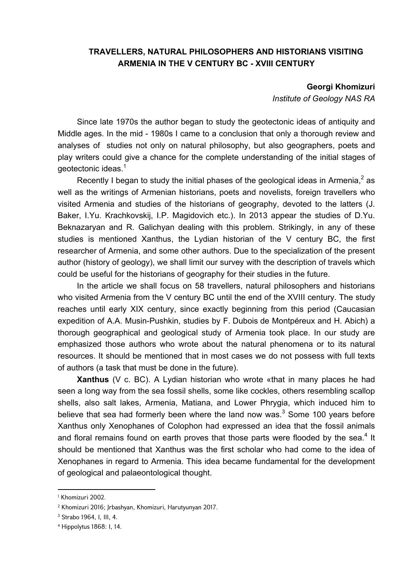## **TRAVELLERS, NATURAL PHILOSOPHERS AND HISTORIANS VISITING ARMENIA IN THE V CENTURY BC - XVIII CENTURY**

## **Georgi Khomizuri**

*Institute of Geology NAS RA*

Since late 1970s the author began to study the geotectonic ideas of antiquity and Middle ages. In the mid - 1980s I came to a conclusion that only a thorough review and analyses of studies not only on natural philosophy, but also geographers, poets and play writers could give a chance for the complete understanding of the initial stages of geotectonic ideas. $^1$ 

Recently I began to study the initial phases of the geological ideas in Armenia, $^2$  as well as the writings of Armenian historians, poets and novelists, foreign travellers who visited Armenia and studies of the historians of geography, devoted to the latters (J. Baker, I.Yu. Krachkovskij, I.P. Magidovich etc.). In 2013 appear the studies of D.Yu. Beknazaryan and R. Galichyan dealing with this problem. Strikingly, in any of these studies is mentioned Xanthus, the Lydian historian of the V century BC, the first researcher of Armenia, and some other authors. Due to the specialization of the present author (history of geology), we shall limit our survey with the description of travels which could be useful for the historians of geography for their studies in the future.

In the article we shall focus on 58 travellers, natural philosophers and historians who visited Armenia from the V century BC until the end of the XVIII century. The study reaches until early XIX century, since exactly beginning from this period (Caucasian expedition of A.A. Musin-Pushkin, studies by F. Dubois de Montpéreux and H. Abich) a thorough geographical and geological study of Armenia took place. In our study are emphasized those authors who wrote about the natural phenomena or to its natural resources. It should be mentioned that in most cases we do not possess with full texts of authors (a task that must be done in the future).

**Xanthus** (V c. BC). A Lydian historian who wrote «that in many places he had seen a long way from the sea fossil shells, some like cockles, others resembling scallop shells, also salt lakes, Armenia, Matiana, and Lower Phrygia, which induced him to believe that sea had formerly been where the land now was. $3$  Some 100 years before Xanthus only Xenophanes of Colophon had expressed an idea that the fossil animals and floral remains found on earth proves that those parts were flooded by the sea. $4$  It should be mentioned that Xanthus was the first scholar who had come to the idea of Xenophanes in regard to Armenia. This idea became fundamental for the development of geological and palaeontological thought.

 $\overline{\phantom{a}}$ 

<sup>1</sup> Khomizuri 2002.

<sup>2</sup> Khomizuri 2016; Jrbashyan, Khomizuri, Harutyunyan 2017.

<sup>3</sup> Strabo 1964, I, III, 4.

<sup>4</sup> Hippolytus 1868: I, 14.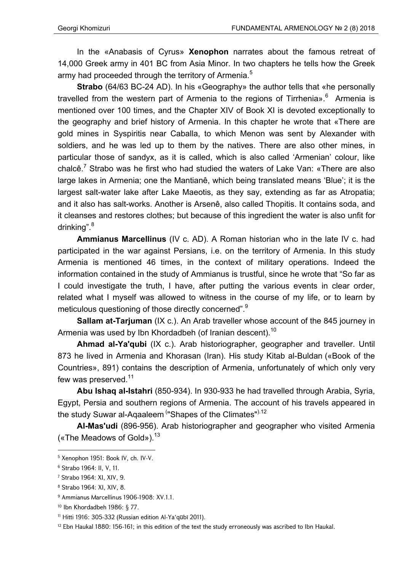In the «Anabasis of Cyrus» **Xenophon** narrates about the famous retreat of 14,000 Greek army in 401 BC from Asia Minor. In two chapters he tells how the Greek army had proceeded through the territory of Armenia.<sup>5</sup>

**Strabo** (64/63 BC-24 AD). In his «Geography» the author tells that «he personally travelled from the western part of Armenia to the regions of Tirrhenia».<sup>6</sup> Armenia is mentioned over 100 times, and the Chapter XIV of Book XI is devoted exceptionally to the geography and brief history of Armenia. In this chapter he wrote that «There are gold mines in Syspiritis near Caballa, to which Menon was sent by Alexander with soldiers, and he was led up to them by the natives. There are also other mines, in particular those of sandyx, as it is called, which is also called 'Armenian' colour, like chalcê.<sup>7</sup> Strabo was he first who had studied the waters of Lake Van: «There are also large lakes in Armenia; one the Mantianê, which being translated means 'Blue'; it is the largest salt-water lake after Lake Maeotis, as they say, extending as far as Atropatia; and it also has salt-works. Another is Arsenê, also called Thopitis. It contains soda, and it cleanses and restores clothes; but because of this ingredient the water is also unfit for drinking". <sup>8</sup>

**Ammianus Marcellinus** (IV c. AD). A Roman historian who in the late IV c. had participated in the war against Persians, i.e. on the territory of Armenia. In this study Armenia is mentioned 46 times, in the context of military operations. Indeed the information contained in the study of Ammianus is trustful, since he wrote that "So far as I could investigate the truth, I have, after putting the various events in clear order, related what I myself was allowed to witness in the course of my life, or to learn by meticulous questioning of those directly concerned".<sup>9</sup>

**Sallam at-Tarjuman** (IX c.). An Arab traveller whose account of the 845 journey in Armenia was used by Ibn Khordadbeh (of Iranian descent).<sup>10</sup>

**Ahmad al-Ya'qubi** (IX c.). Arab historiographer, geographer and traveller. Until 873 he lived in Armenia and Khorasan (Iran). His study Kitab al-Buldan («Book of the Countries», 891) contains the description of Armenia, unfortunately of which only very few was preserved.<sup>11</sup>

**Abu Ishaq al-Istahri** (850-934). In 930-933 he had travelled through Arabia, Syria, Egypt, Persia and southern regions of Armenia. The account of his travels appeared in the study Suwar al-Aqaaleem "Shapes of the Climates"<sup>).12</sup>

**Al-Mas'udi** (896-956). Arab historiographer and geographer who visited Armenia («The Meadows of Gold»).  $13$ 

<sup>5</sup> Xenophon 1951: Book IV, ch. IV-V.

<sup>6</sup> Strabo 1964: II, V, 11.

<sup>7</sup> Strabo 1964: XI, XIV, 9.

<sup>8</sup> Strabo 1964: XI, XIV, 8.

<sup>9</sup> Ammianus Marcellinus 1906-1908: XV.1.1.

<sup>10</sup> Ibn Khordadbeh 1986: § 77.

<sup>11</sup> Hitti 1916: 305-332 (Russian edition Al-Ya'qūbī 2011).

<sup>&</sup>lt;sup>12</sup> Ebn Haukal 1880: 156-161; in this edition of the text the study erroneously was ascribed to Ibn Haukal.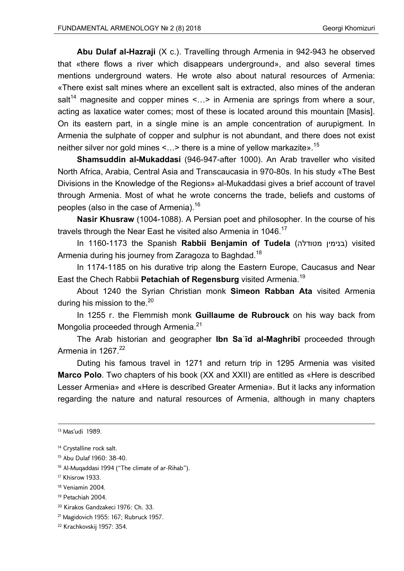**Abu Dulaf al-Hazraji** (X c.). Travelling through Armenia in 942-943 he observed that «there flows a river which disappears underground», and also several times mentions underground waters. He wrote also about natural resources of Armenia: «There exist salt mines where an excellent salt is extracted, also mines of the anderan salt<sup>14</sup> magnesite and copper mines <...> in Armenia are springs from where a sour, acting as laxatice water comes; most of these is located around this mountain [Masis]. On its eastern part, in a single mine is an ample concentration of aurupigment. In Armenia the sulphate of copper and sulphur is not abundant, and there does not exist neither silver nor gold mines  $\leq$ ...> there is a mine of yellow markazite».<sup>15</sup>

**Shamsuddin al-Mukaddasi** (946-947-after 1000). An Arab traveller who visited North Africa, Arabia, Central Asia and Transcaucasia in 970-80s. In his study «The Best Divisions in the Knowledge of the Regions» al-Mukaddasi gives a brief account of travel through Armenia. Most of what he wrote concerns the trade, beliefs and customs of peoples (also in the case of Armenia).<sup>16</sup>

**Nasir Khusraw** (1004-1088). A Persian poet and philosopher. In the course of his travels through the Near East he visited also Armenia in 1046.<sup>17</sup>

In 1160-1173 the Spanish **Rabbii Benjamin of Tudela** (מטודלה בנימין (visited Armenia during his journey from Zaragoza to Baghdad.<sup>18</sup>

In 1174-1185 on his durative trip along the Eastern Europe, Caucasus and Near East the Chech Rabbii **Petachiah of Regensburg** visited Armenia.19

About 1240 the Syrian Christian monk **Simeon Rabban Ata** visited Armenia during his mission to the. $^{20}$ 

In 1255 r. the Flemmish monk **Guillaume de Rubrouck** on his way back from Mongolia proceeded through Armenia.<sup>21</sup>

The Arab historian and geographer **Ibn Saʿīd al-Maghribī** proceeded through Armenia in 1267. $22$ 

Duting his famous travel in 1271 and return trip in 1295 Armenia was visited **Marco Polo**. Two chapters of his book (XX and XXII) are entitled as «Here is described Lesser Armenia» and «Here is described Greater Armenia». But it lacks any information regarding the nature and natural resources of Armenia, although in many chapters

**.** 

17 Khisrow 1933.

19 Petachiah 2004.

<sup>13</sup> Mas'udi 1989.

<sup>&</sup>lt;sup>14</sup> Crystalline rock salt.

<sup>15</sup> Abu Dulaf 1960: 38-40.

<sup>&</sup>lt;sup>16</sup> Al-Muqaddasi 1994 ("The climate of ar-Rihab").

<sup>18</sup> Veniamin 2004.

<sup>20</sup> Kirakos Gandzakeci 1976: Ch. 33.

<sup>21</sup> Magidovich 1955: 167; Rubruck 1957.

<sup>22</sup> Krachkovskij 1957: 354.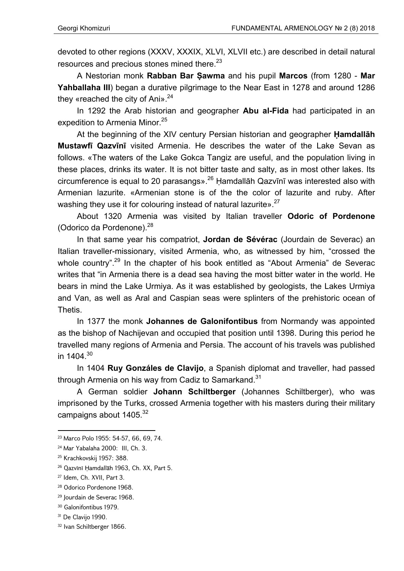devoted to other regions (XXXV, XXXIX, XLVI, XLVII etc.) are described in detail natural resources and precious stones mined there.<sup>23</sup>

A Nestorian monk **Rabban Bar Ṣawma** and his pupil **Marcos** (from 1280 - **Mar Yahballaha III**) began a durative pilgrimage to the Near East in 1278 and around 1286 they «reached the city of Ani». $24$ 

In 1292 the Arab historian and geographer **Abu al-Fida** had participated in an expedition to Armenia Minor.<sup>25</sup>

At the beginning of the XIV century Persian historian and geographer **Ḥamdallāh Mustawfī Qazvīnī** visited Armenia. He describes the water of the Lake Sevan as follows. «The waters of the Lake Gokca Tangiz are useful, and the population living in these places, drinks its water. It is not bitter taste and salty, as in most other lakes. Its circumference is equal to 20 parasangs».<sup>26</sup> Ḥamdallāh Qazvīnī was interested also with Armenian lazurite. «Armenian stone is of the the color of lazurite and ruby. After washing they use it for colouring instead of natural lazurite».<sup>27</sup>

About 1320 Armenia was visited by Italian traveller **Odoric of Pordenone** (Odorico da Pordenone).<sup>28</sup>

In that same year his compatriot, **Jordan de Sévérac** (Jourdain de Severac) an Italian traveller-missionary, visited Armenia, who, as witnessed by him, "crossed the whole country".<sup>29</sup> In the chapter of his book entitled as "About Armenia" de Severac writes that "in Armenia there is a dead sea having the most bitter water in the world. He bears in mind the Lake Urmiya. As it was established by geologists, the Lakes Urmiya and Van, as well as Aral and Caspian seas were splinters of the prehistoric ocean of Thetis.

In 1377 the monk **Johannes de Galonifontibus** from Normandy was appointed as the bishop of Nachijevan and occupied that position until 1398. During this period he travelled many regions of Armenia and Persia. The account of his travels was published in  $1404^{30}$ 

In 1404 **Ruy Gonzáles de Clavijo**, a Spanish diplomat and traveller, had passed through Armenia on his way from Cadiz to Samarkand.<sup>31</sup>

A German soldier **Johann Schiltberger** (Johannes Schiltberger), who was imprisoned by the Turks, crossed Armenia together with his masters during their military campaigns about 1405.<sup>32</sup>

1

<sup>23</sup> Marco Polo 1955: 54-57, 66, 69, 74.

<sup>24</sup> Mar Yabalaha 2000: III, Ch. 3.

<sup>25</sup> Krachkovskij 1957: 388.

<sup>26</sup> Qazvīnī Ḥamdallāh 1963, Ch. XX, Part 5.

<sup>27</sup> Idem, Ch. XVII, Part 3.

<sup>28</sup> Odorico Pordenone 1968.

<sup>29</sup> Jourdain de Severac 1968.

<sup>30</sup> Galonifontibus 1979.

<sup>&</sup>lt;sup>31</sup> De Clavijo 1990.

<sup>32</sup> Ivan Schiltberger 1866.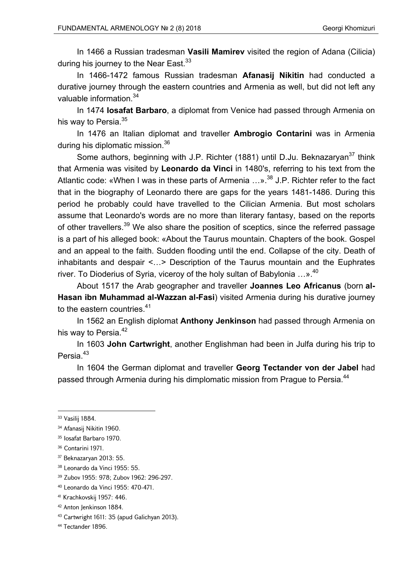In 1466 a Russian tradesman **Vasili Mamirev** visited the region of Adana (Cilicia) during his journey to the Near East.<sup>33</sup>

In 1466-1472 famous Russian tradesman **Afanasij Nikitin** had conducted a durative journey through the eastern countries and Armenia as well, but did not left any valuable information.<sup>34</sup>

In 1474 **Iosafat Barbaro**, a diplomat from Venice had passed through Armenia on his way to Persia.<sup>35</sup>

In 1476 an Italian diplomat and traveller **Ambrogio Contarini** was in Armenia during his diplomatic mission.<sup>36</sup>

Some authors, beginning with J.P. Richter (1881) until D.Ju. Beknazaryan<sup>37</sup> think that Armenia was visited by **Leonardo da Vinci** in 1480's, referring to his text from the Atlantic code: «When I was in these parts of Armenia  $\ldots$ ».<sup>38</sup> J.P. Richter refer to the fact that in the biography of Leonardo there are gaps for the years 1481-1486. During this period he probably could have travelled to the Cilician Armenia. But most scholars assume that Leonardo's words are no more than literary fantasy, based on the reports of other travellers.<sup>39</sup> We also share the position of sceptics, since the referred passage is a part of his alleged book: «About the Taurus mountain. Chapters of the book. Gospel and an appeal to the faith. Sudden flooding until the end. Collapse of the city. Death of inhabitants and despair <…> Description of the Taurus mountain and the Euphrates river. To Dioderius of Syria, viceroy of the holy sultan of Babylonia  $...$ ».<sup>40</sup>

About 1517 the Arab geographer and traveller **Joannes Leo Africanus** (born **al-Hasan ibn Muhammad al-Wazzan al-Fasi**) visited Armenia during his durative journey to the eastern countries.<sup>41</sup>

In 1562 an English diplomat **Anthony Jenkinson** had passed through Armenia on his way to Persia.<sup>42</sup>

In 1603 **John Cartwright**, another Englishman had been in Julfa during his trip to Persia.<sup>43</sup>

In 1604 the German diplomat and traveller **Georg Tectander von der Jabel** had passed through Armenia during his dimplomatic mission from Prague to Persia.<sup>44</sup>

- 41 Krachkovskij 1957: 446.
- 42 Anton Jenkinson 1884.
- 43 Cartwright 1611: 35 (apud Galichyan 2013).
- <sup>44</sup> Tectander 1896.

<sup>33</sup> Vasilij 1884.

<sup>&</sup>lt;sup>34</sup> Afanasii Nikitin 1960.

<sup>35</sup> Iosafat Barbaro 1970.

<sup>36</sup> Contarini 1971.

<sup>37</sup> Beknazaryan 2013: 55.

<sup>38</sup> Leonardo da Vinci 1955: 55.

<sup>39</sup> Zubov 1955: 978; Zubov 1962: 296-297.

<sup>40</sup> Leonardo da Vinci 1955: 470-471.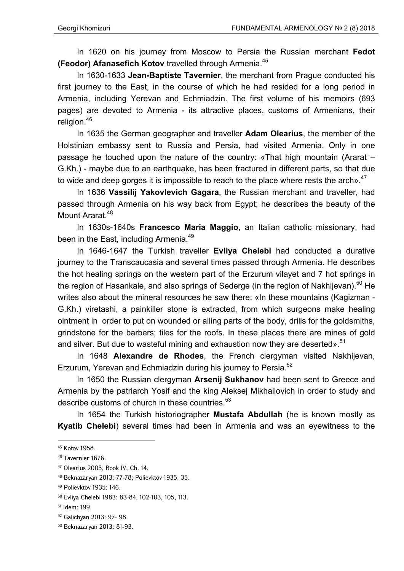In 1620 on his journey from Moscow to Persia the Russian merchant **Fedot (Feodor) Afanasefich Kotov** travelled through Armenia.45

In 1630-1633 **Jean-Baptiste Tavernier**, the merchant from Prague conducted his first journey to the East, in the course of which he had resided for a long period in Armenia, including Yerevan and Echmiadzin. The first volume of his memoirs (693 pages) are devoted to Armenia - its attractive places, customs of Armenians, their religion.46

In 1635 the German geographer and traveller **Adam Olearius**, the member of the Holstinian embassy sent to Russia and Persia, had visited Armenia. Only in one passage he touched upon the nature of the country: «That high mountain (Ararat – G.Kh.) - maybe due to an earthquake, has been fractured in different parts, so that due to wide and deep gorges it is impossible to reach to the place where rests the arch $<sup>47</sup>$ </sup>

In 1636 **Vassilij Yakovlevich Gagara**, the Russian merchant and traveller, had passed through Armenia on his way back from Egypt; he describes the beauty of the Mount Ararat.<sup>48</sup>

In 1630s-1640s **Francesco Maria Maggio**, an Italian catholic missionаry, had been in the East, including Armenia.<sup>49</sup>

In 1646-1647 the Turkish traveller **Evliya Chelebi** had conducted a durative journey to the Transcaucasia and several times passed through Armenia. He describes the hot healing springs on the western part of the Erzurum vilayet and 7 hot springs in the region of Hasankale, and also springs of Sederge (in the region of Nakhijevan).<sup>50</sup> He writes also about the mineral resources he saw there: «In these mountains (Kagizman - G.Kh.) viretashi, a painkiller stone is extracted, from which surgeons make healing ointment in order to put on wounded or ailing parts of the body, drills for the goldsmiths, grindstone for the barbers; tiles for the roofs. In these places there are mines of gold and silver. But due to wasteful mining and exhaustion now they are deserted».<sup>51</sup>

In 1648 **Alexandre de Rhodes**, the French clergyman visited Nakhijevan, Erzurum, Yerevan and Echmiadzin during his journey to Persia.52

In 1650 the Russian clergyman **Arsenij Sukhanov** had been sent to Greece and Armenia by the patriarch Yosif and the king Aleksej Mikhailovich in order to study and describe customs of church in these countries.<sup>53</sup>

In 1654 the Turkish historiographer **Mustafa Abdullah** (he is known mostly as **Kyatib Chelebi**) several times had been in Armenia and was an eyewitness to the

<sup>45</sup> Kotov 1958.

<sup>46</sup> Tavernier 1676.

<sup>47</sup> Olearius 2003, Book IV, Ch. 14.

<sup>48</sup> Beknazaryan 2013: 77-78; Polievktov 1935: 35.

<sup>49</sup> Polievktov 1935: 146.

<sup>50</sup> Evliya Chelebi 1983: 83-84, 102-103, 105, 113.

<sup>51</sup> Idem: 199.

<sup>52</sup> Galichyan 2013: 97- 98.

<sup>53</sup> Beknazaryan 2013: 81-93.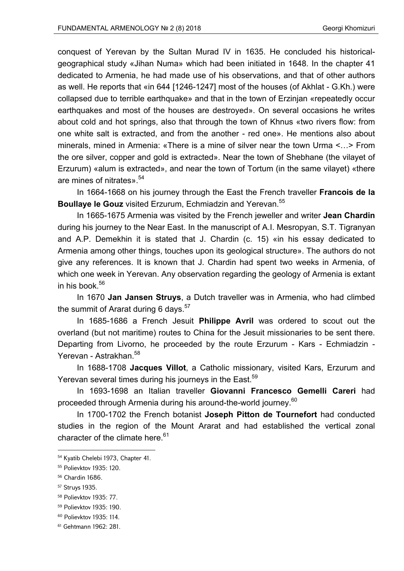conquest of Yerevan by the Sultan Murad IV in 1635. He concluded his historicalgeographical study «Jihan Numa» which had been initiated in 1648. In the chapter 41 dedicated to Armenia, he had made use of his observations, and that of other authors as well. He reports that «in 644 [1246-1247] most of the houses (of Akhlat - G.Kh.) were collapsed due to terrible earthquake» and that in the town of Erzinjan «repeatedly occur earthquakes and most of the houses are destroyed». On several occasions he writes about cold and hot springs, also that through the town of Khnus «two rivers flow: from one white salt is extracted, and from the another - red one». He mentions also about minerals, mined in Armenia: «There is a mine of silver near the town Urma <…> From the ore silver, copper and gold is extracted». Near the town of Shebhane (the vilayet of Erzurum) «alum is extracted», and near the town of Tortum (in the same vilayet) «there are mines of nitrates».<sup>54</sup>

In 1664-1668 on his journey through the East the French traveller **Francois de la Boullaye le Gouz** visited Erzurum, Echmiadzin and Yerevan.<sup>55</sup>

In 1665-1675 Armenia was visited by the French jeweller and writer **Jean Chardin** during his journey to the Near East. In the manuscript of A.I. Mesropyan, S.T. Tigranyan and A.P. Demekhin it is stated that J. Chardin (с. 15) «in his essay dedicated to Armenia among other things, touches upon its geological structure». The authors do not give any references. It is known that J. Chardin had spent two weeks in Armenia, of which one week in Yerevan. Any observation regarding the geology of Armenia is extant in his book. $56$ 

In 1670 **Jan Jansen Struys**, a Dutch traveller was in Armenia, who had climbed the summit of Ararat during 6 days. $57$ 

In 1685-1686 a French Jesuit **Philippe Avril** was ordered to scout out the overland (but not maritime) routes to China for the Jesuit missionaries to be sent there. Departing from Livorno, he proceeded by the route Erzurum - Kars - Echmiadzin - Yerevan - Astrakhan.<sup>58</sup>

In 1688-1708 **Jacques Villot**, a Catholic missionary, visited Kars, Erzurum and Yerevan several times during his journeys in the East.<sup>59</sup>

In 1693-1698 an Italian traveller **Giovanni Francesco Gemelli Careri** had proceeded through Armenia during his around-the-world journey.<sup>60</sup>

In 1700-1702 the French botanist **Joseph Pitton de Tournefort** had conducted studies in the region of the Mount Ararat and had established the vertical zonal character of the climate here.<sup>61</sup>

<sup>54</sup> Kyatib Chelebi 1973, Chapter 41.

<sup>55</sup> Polievktov 1935: 120.

<sup>56</sup> Chardin 1686.

<sup>57</sup> Struys 1935.

<sup>58</sup> Polievktov 1935: 77.

<sup>59</sup> Polievktov 1935: 190.

<sup>60</sup> Polievktov 1935: 114.

<sup>61</sup> Gehtmann 1962: 281.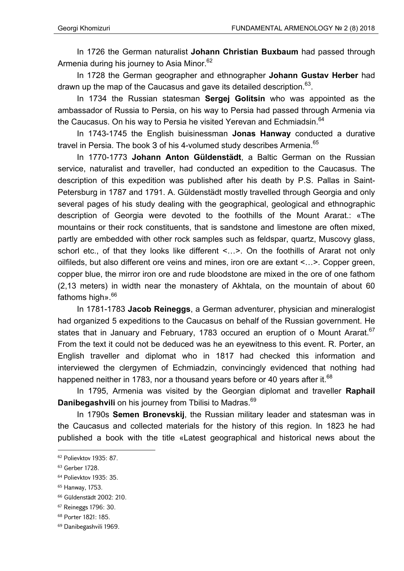In 1726 the German naturalist **Johann Christian Buxbaum** had passed through Armenia during his journey to Asia Minor.<sup>62</sup>

In 1728 the German geographer and ethnographer **Johann Gustav Herber** had drawn up the map of the Caucasus and gave its detailed description.  $63$ .

In 1734 the Russian statesman **Sergej Golitsin** who was appointed as the ambassador of Russia to Persia, on his way to Persia had passed through Armenia via the Caucasus. On his way to Persia he visited Yerevan and Echmiadsin.<sup>64</sup>

In 1743-1745 the English buisinessman **Jonas Hanway** conducted a durative travel in Persia. The book 3 of his 4-volumed study describes Armenia.<sup>65</sup>

In 1770-1773 **Johann Anton Güldenstädt**, a Baltic German on the Russian service, naturalist and traveller, had conducted an expedition to the Caucasus. The description of this expedition was published after his death by P.S. Pallas in Saint-Petersburg in 1787 and 1791. A. Güldenstädt mostly travelled through Georgia and only several pages of his study dealing with the geographical, geological and ethnographic description of Georgia were devoted to the foothills of the Mount Ararat.: «The mountains or their rock constituents, that is sandstone and limestone are often mixed, partly are embedded with other rock samples such as feldspar, quartz, Muscovy glass, schorl etc., of that they looks like different <...>. On the foothills of Ararat not only oilfileds, but also different ore veins and mines, iron ore are extant <…>. Copper green, copper blue, the mirror iron ore and rude bloodstone are mixed in the ore of one fathom (2,13 meters) in width near the monastery of Akhtala, on the mountain of about 60 fathoms high».<sup>66</sup>

In 1781-1783 **Jacob Reineggs**, a German adventurer, physician and mineralogist had organized 5 expeditions to the Caucasus on behalf of the Russian government. He states that in January and February, 1783 occured an eruption of o Mount Ararat.<sup>67</sup> From the text it could not be deduced was he an eyewitness to this event. R. Porter, an English traveller and diplomat who in 1817 had checked this information and interviewed the clergymen of Echmiadzin, convincingly evidenced that nothing had happened neither in 1783, nor a thousand years before or 40 years after it.<sup>68</sup>

In 1795, Armenia was visited by the Georgian diplomat and traveller **Raphail Danibegashvili** on his journey from Tbilisi to Madras.<sup>69</sup>

In 1790s **Semen Bronevskij**, the Russian military leader and statesman was in the Caucasus and collected materials for the history of this region. In 1823 he had published a book with the title «Latest geographical and historical news about the

<sup>62</sup> Polievktov 1935: 87.

<sup>63</sup> Gerber 1728.

<sup>64</sup> Polievktov 1935: 35.

<sup>65</sup> Hanway, 1753.

<sup>66</sup> Güldenstädt 2002: 210.

<sup>67</sup> Reineggs 1796: 30.

<sup>68</sup> Porter 1821: 185.

<sup>69</sup> Danibegashvili 1969.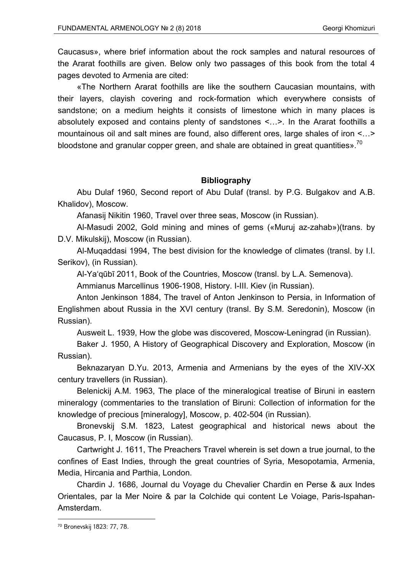Caucasus», where brief information about the rock samples and natural resources of the Ararat foothills are given. Below only two passages of this book from the total 4 pages devoted to Armenia are cited:

«The Northern Ararat foothills are like the southern Caucasian mountains, with their layers, clayish covering and rock-formation which everywhere consists of sandstone; on a medium heights it consists of limestone which in many places is absolutely exposed and contains plenty of sandstones <…>. In the Ararat foothills a mountainous oil and salt mines are found, also different ores, large shales of iron <…> bloodstone and granular copper green, and shale are obtained in great quantities».<sup>70</sup>

## **Bibliography**

Abu Dulaf 1960, Second report of Abu Dulaf (transl. by P.G. Bulgakov and A.B. Khalidov), Moscow.

Afanasij Nikitin 1960, Travel over three seas, Moscow (in Russian).

Al-Masudi 2002, Gold mining and mines of gems («Muruj az-zahab»)(trans. by D.V. Mikulskij), Moscow (in Russian).

Al-Muqaddasi 1994, The best division for the knowledge of climates (transl. by I.I. Serikov), (in Russian).

Al-Ya'qūbī 2011, Book of the Countries, Moscow (transl. by L.A. Semenova).

Ammianus Marcellinus 1906-1908, History. I-III. Kiev (in Russian).

Anton Jenkinson 1884, The travel of Anton Jenkinson to Persia, in Information of Englishmen about Russia in the XVI century (transl. By S.M. Seredonin), Moscow (in Russian).

Ausweit L. 1939, How the globe was discovered, Moscow-Leningrad (in Russian).

Baker J. 1950, A History of Geographical Discovery and Exploration, Moscow (in Russian).

Beknazaryan D.Yu. 2013, Armenia and Armenians by the eyes of the XIV-XX century travellers (in Russian).

Belenickij A.M. 1963, The place of the mineralogical treatise of Biruni in eastern mineralogy (commentaries to the translation of Biruni: Collection of information for the knowledge of precious [mineralogy], Moscow, p. 402-504 (in Russian).

Bronevskij S.M. 1823, Latest geographical and historical news about the Caucasus, P. I, Moscow (in Russian).

Cartwright J. 1611, The Preachers Travel wherein is set down a true journal, to the confines of East Indies, through the great countries of Syria, Mesopotamia, Armenia, Media, Hircania and Parthia, London.

Chardin J. 1686, Journal du Voyage du Chevalier Chardin en Perse & aux Indes Orientales, par la Mer Noire & par la Colchide qui content Le Voiage, Paris-Ispahan-Amsterdam.

1

<sup>70</sup> Bronevskij 1823: 77, 78.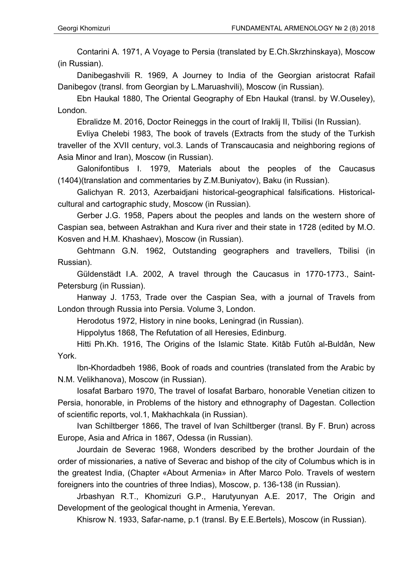Contarini A. 1971, A Voyage to Persia (translated by E.Ch.Skrzhinskaya), Moscow (in Russian).

Danibegashvili R. 1969, A Journey to India of the Georgian aristocrat Rafail Danibegov (transl. from Georgian by L.Maruashvili), Moscow (in Russian).

Ebn Haukal 1880, The Oriental Geography of Ebn Haukal (transl. by W.Ouseley), London.

Ebralidze M. 2016, Doctor Reineggs in the court of Iraklij II, Tbilisi (In Russian).

Evliya Chelebi 1983, The book of travels (Extracts from the study of the Turkish traveller of the XVII century, vol.3. Lands of Transcaucasia and neighboring regions of Asia Minor and Iran), Moscow (in Russian).

Galonifontibus I. 1979, Materials about the peoples of the Caucasus (1404)(translation and commentaries by Z.M.Buniyatov), Baku (in Russian).

Galichyan R. 2013, Azerbaidjani historical-geographical falsifications. Historicalcultural and cartographic study, Moscow (in Russian).

Gerber J.G. 1958, Papers about the peoples and lands on the western shore of Caspian sea, between Astrakhan and Kura river and their state in 1728 (edited by M.O. Kosven and H.M. Khashaev), Moscow (in Russian).

Gehtmann G.N. 1962, Outstanding geographers and travellers, Tbilisi (in Russian).

Güldenstädt I.A. 2002, A travel through the Caucasus in 1770-1773., Saint-Petersburg (in Russian).

Hanway J. 1753, Trade over the Caspian Sea, with a journal of Travels from London through Russia into Persia. Volume 3, London.

Herodotus 1972, History in nine books, Leningrad (in Russian).

Hippolytus 1868, The Refutation of all Heresies, Edinburg.

Hitti Ph.Kh. 1916, The Origins of the Islamic State. Kitâb Futûh al-Buldân, New York.

Ibn-Khordadbeh 1986, Book of roads and countries (translated from the Arabic by N.M. Velikhanova), Moscow (in Russian).

Iosafat Barbaro 1970, The travel of Iosafat Barbaro, honorable Venetian citizen to Persia, honorable, in Problems of the history and ethnography of Dagestan. Collection of scientific reports, vol.1, Makhachkala (in Russian).

Ivan Schiltberger 1866, The travel of Ivan Schiltberger (transl. By F. Brun) across Europe, Asia and Africa in 1867, Odessa (in Russian).

Jourdain de Severac 1968, Wonders described by the brother Jourdain of the order of missionaries, a native of Severac and bishop of the city of Columbus which is in the greatest India, (Chapter «About Armenia» in After Marco Polo. Travels of western foreigners into the countries of three Indias), Moscow, p. 136-138 (in Russian).

Jrbashyan R.T., Khomizuri G.P., Harutyunyan A.E. 2017, The Origin and Development of the geological thought in Armenia, Yerevan.

Khisrow N. 1933, Safar-name, p.1 (transl. By E.E.Bertels), Moscow (in Russian).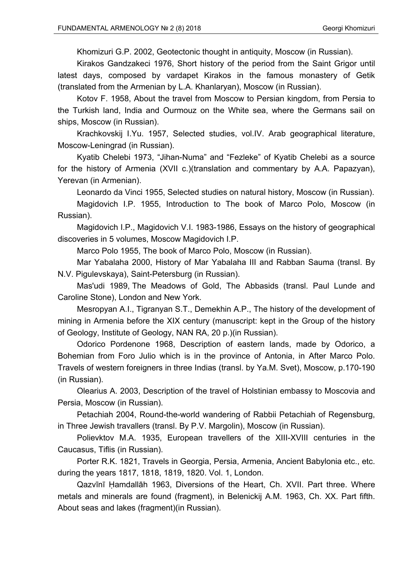Khomizuri G.P. 2002, Geotectonic thought in antiquity, Moscow (in Russian).

Kirakos Gandzakeci 1976, Short history of the period from the Saint Grigor until latest days, composed by vardapet Kirakos in the famous monastery of Getik (translated from the Armenian by L.A. Khanlaryan), Moscow (in Russian).

Kotov F. 1958, About the travel from Moscow to Persian kingdom, from Persia to the Turkish land, India and Ourmouz on the White sea, where the Germans sail on ships, Moscow (in Russian).

Krachkovskij I.Yu. 1957, Selected studies, vol.IV. Arab geographical literature, Moscow-Leningrad (in Russian).

Kyatib Chelebi 1973, "Jihan-Numa" and "Fezleke" of Kyatib Chelebi as a source for the history of Armenia (XVII c.)(translation and commentary by A.A. Papazyan), Yerevan (in Armenian).

Leonardo da Vinci 1955, Selected studies on natural history, Moscow (in Russian).

Magidovich I.P. 1955, Introduction to The book of Marco Polo, Moscow (in Russian).

Magidovich I.P., Magidovich V.I. 1983-1986, Essays on the history of geographical discoveries in 5 volumes, Moscow Magidovich I.P.

Marco Polo 1955, The book of Marco Polo, Moscow (in Russian).

Mar Yabalaha 2000, History of Mar Yabalaha III and Rabban Sauma (transl. By N.V. Pigulevskaya), Saint-Petersburg (in Russian).

Mas'udi 1989, The Meadows of Gold, The Abbasids (transl. Paul Lunde and Caroline Stone), London and New York.

Mesropyan A.I., Tigranyan S.T., Demekhin A.P., The history of the development of mining in Armenia before the XIX century (manuscript: kept in the Group of the history of Geology, Institute of Geology, NAN RA, 20 p.)(in Russian).

Odorico Pordenone 1968, Description of eastern lands, made by Odorico, a Bohemian from Foro Julio which is in the province of Antonia, in After Marco Polo. Travels of western foreigners in three Indias (transl. by Ya.M. Svet), Moscow, p.170-190 (in Russian).

Olearius A. 2003, Description of the travel of Holstinian embassy to Moscovia and Persia, Moscow (in Russian).

Petachiah 2004, Round-the-world wandering of Rabbii Petachiah of Regensburg, in Three Jewish travallers (transl. By P.V. Margolin), Moscow (in Russian).

Polievktov M.A. 1935, European travellers of the XIII-XVIII centuries in the Caucasus, Tiflis (in Russian).

Porter R.K. 1821, Travels in Georgia, Persia, Armenia, Ancient Babylonia etc., etc. during the years 1817, 1818, 1819, 1820. Vol. 1, London.

Qazvīnī Ḥamdallāh 1963, Diversions of the Heart, Ch. XVII. Part three. Where metals and minerals are found (fragment), in Belenickij A.M. 1963, Ch. XX. Part fifth. About seas and lakes (fragment)(in Russian).